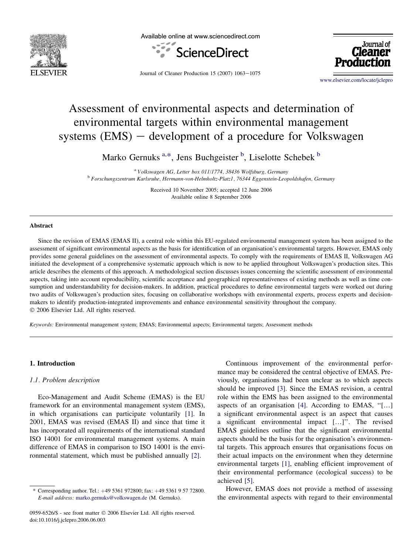

Available online at www.sciencedirect.com



Journal of Cleaner

Journal of Cleaner Production  $15$  (2007)  $1063-1075$ 

[www.elsevier.com/locate/jclepro](http://www.elsevier.com/locate/jclepro)

# Assessment of environmental aspects and determination of environmental targets within environmental management systems  $(EMS)$  – development of a procedure for Volkswagen

Marko Gernuks<sup>a,\*</sup>, Jens Buchgeister <sup>b</sup>, Liselotte Schebek <sup>b</sup>

<sup>a</sup> Volkswagen AG, Letter box 011/1774, 38436 Wolfsburg, Germany <sup>b</sup> Forschungszentrum Karlsruhe, Hermann-von-Helmholtz-Platz1, 76344 Eggenstein-Leopoldshafen, Germany

Received 10 November 2005; accepted 12 June 2006 Available online 8 September 2006

#### Abstract

Since the revision of EMAS (EMAS II), a central role within this EU-regulated environmental management system has been assigned to the assessment of significant environmental aspects as the basis for identification of an organisation's environmental targets. However, EMAS only provides some general guidelines on the assessment of environmental aspects. To comply with the requirements of EMAS II, Volkswagen AG initiated the development of a comprehensive systematic approach which is now to be applied throughout Volkswagen's production sites. This article describes the elements of this approach. A methodological section discusses issues concerning the scientific assessment of environmental aspects, taking into account reproducibility, scientific acceptance and geographical representativeness of existing methods as well as time consumption and understandability for decision-makers. In addition, practical procedures to define environmental targets were worked out during two audits of Volkswagen's production sites, focusing on collaborative workshops with environmental experts, process experts and decisionmakers to identify production-integrated improvements and enhance environmental sensitivity throughout the company.  $© 2006 Elsevier Ltd. All rights reserved.$ 

Keywords: Environmental management system; EMAS; Environmental aspects; Environmental targets; Assessment methods

## 1. Introduction

#### 1.1. Problem description

Eco-Management and Audit Scheme (EMAS) is the EU framework for an environmental management system (EMS), in which organisations can participate voluntarily [\[1\].](#page--1-0) In 2001, EMAS was revised (EMAS II) and since that time it has incorporated all requirements of the international standard ISO 14001 for environmental management systems. A main difference of EMAS in comparison to ISO 14001 is the environmental statement, which must be published annually [\[2\].](#page--1-0)

0959-6526/\$ - see front matter © 2006 Elsevier Ltd. All rights reserved. doi:10.1016/j.jclepro.2006.06.003

Continuous improvement of the environmental performance may be considered the central objective of EMAS. Previously, organisations had been unclear as to which aspects should be improved [\[3\].](#page--1-0) Since the EMAS revision, a central role within the EMS has been assigned to the environmental aspects of an organisation [\[4\]](#page--1-0). According to EMAS, "[...] a significant environmental aspect is an aspect that causes a significant environmental impact [...]". The revised EMAS guidelines outline that the significant environmental aspects should be the basis for the organisation's environmental targets. This approach ensures that organisations focus on their actual impacts on the environment when they determine environmental targets [\[1\]](#page--1-0), enabling efficient improvement of their environmental performance (ecological success) to be achieved [\[5\].](#page--1-0)

However, EMAS does not provide a method of assessing the environmental aspects with regard to their environmental

Corresponding author. Tel.: +49 5361 972800; fax: +49 5361 9 57 72800. E-mail address: [marko.gernuks@volkswagen.de](mailto:marko.gernuks@volkswagen.de) (M. Gernuks).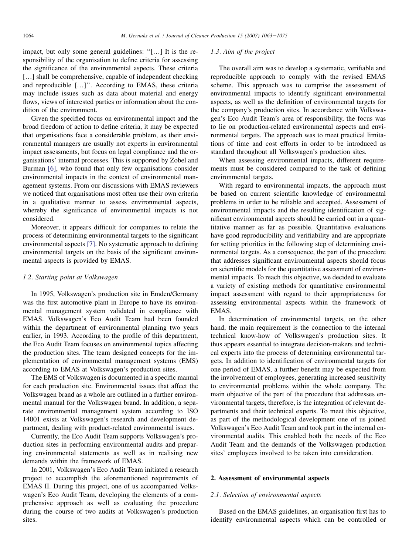impact, but only some general guidelines: "[...] It is the responsibility of the organisation to define criteria for assessing the significance of the environmental aspects. These criteria [...] shall be comprehensive, capable of independent checking and reproducible [...]". According to EMAS, these criteria may include issues such as data about material and energy flows, views of interested parties or information about the condition of the environment.

Given the specified focus on environmental impact and the broad freedom of action to define criteria, it may be expected that organisations face a considerable problem, as their environmental managers are usually not experts in environmental impact assessments, but focus on legal compliance and the organisations' internal processes. This is supported by Zobel and Burman [\[6\]](#page--1-0), who found that only few organisations consider environmental impacts in the context of environmental management systems. From our discussions with EMAS reviewers we noticed that organisations most often use their own criteria in a qualitative manner to assess environmental aspects, whereby the significance of environmental impacts is not considered.

Moreover, it appears difficult for companies to relate the process of determining environmental targets to the significant environmental aspects [\[7\]](#page--1-0). No systematic approach to defining environmental targets on the basis of the significant environmental aspects is provided by EMAS.

### 1.2. Starting point at Volkswagen

In 1995, Volkswagen's production site in Emden/Germany was the first automotive plant in Europe to have its environmental management system validated in compliance with EMAS. Volkswagen's Eco Audit Team had been founded within the department of environmental planning two years earlier, in 1993. According to the profile of this department, the Eco Audit Team focuses on environmental topics affecting the production sites. The team designed concepts for the implementation of environmental management systems (EMS) according to EMAS at Volkswagen's production sites.

The EMS of Volkswagen is documented in a specific manual for each production site. Environmental issues that affect the Volkswagen brand as a whole are outlined in a further environmental manual for the Volkswagen brand. In addition, a separate environmental management system according to ISO 14001 exists at Volkswagen's research and development department, dealing with product-related environmental issues.

Currently, the Eco Audit Team supports Volkswagen's production sites in performing environmental audits and preparing environmental statements as well as in realising new demands within the framework of EMAS.

In 2001, Volkswagen's Eco Audit Team initiated a research project to accomplish the aforementioned requirements of EMAS II. During this project, one of us accompanied Volkswagen's Eco Audit Team, developing the elements of a comprehensive approach as well as evaluating the procedure during the course of two audits at Volkswagen's production sites.

## 1.3. Aim of the project

The overall aim was to develop a systematic, verifiable and reproducible approach to comply with the revised EMAS scheme. This approach was to comprise the assessment of environmental impacts to identify significant environmental aspects, as well as the definition of environmental targets for the company's production sites. In accordance with Volkswagen's Eco Audit Team's area of responsibility, the focus was to lie on production-related environmental aspects and environmental targets. The approach was to meet practical limitations of time and cost efforts in order to be introduced as standard throughout all Volkswagen's production sites.

When assessing environmental impacts, different requirements must be considered compared to the task of defining environmental targets.

With regard to environmental impacts, the approach must be based on current scientific knowledge of environmental problems in order to be reliable and accepted. Assessment of environmental impacts and the resulting identification of significant environmental aspects should be carried out in a quantitative manner as far as possible. Quantitative evaluations have good reproducibility and verifiability and are appropriate for setting priorities in the following step of determining environmental targets. As a consequence, the part of the procedure that addresses significant environmental aspects should focus on scientific models for the quantitative assessment of environmental impacts. To reach this objective, we decided to evaluate a variety of existing methods for quantitative environmental impact assessment with regard to their appropriateness for assessing environmental aspects within the framework of EMAS.

In determination of environmental targets, on the other hand, the main requirement is the connection to the internal technical know-how of Volkswagen's production sites. It thus appears essential to integrate decision-makers and technical experts into the process of determining environmental targets. In addition to identification of environmental targets for one period of EMAS, a further benefit may be expected from the involvement of employees, generating increased sensitivity to environmental problems within the whole company. The main objective of the part of the procedure that addresses environmental targets, therefore, is the integration of relevant departments and their technical experts. To meet this objective, as part of the methodological development one of us joined Volkswagen's Eco Audit Team and took part in the internal environmental audits. This enabled both the needs of the Eco Audit Team and the demands of the Volkswagen production sites' employees involved to be taken into consideration.

### 2. Assessment of environmental aspects

### 2.1. Selection of environmental aspects

Based on the EMAS guidelines, an organisation first has to identify environmental aspects which can be controlled or